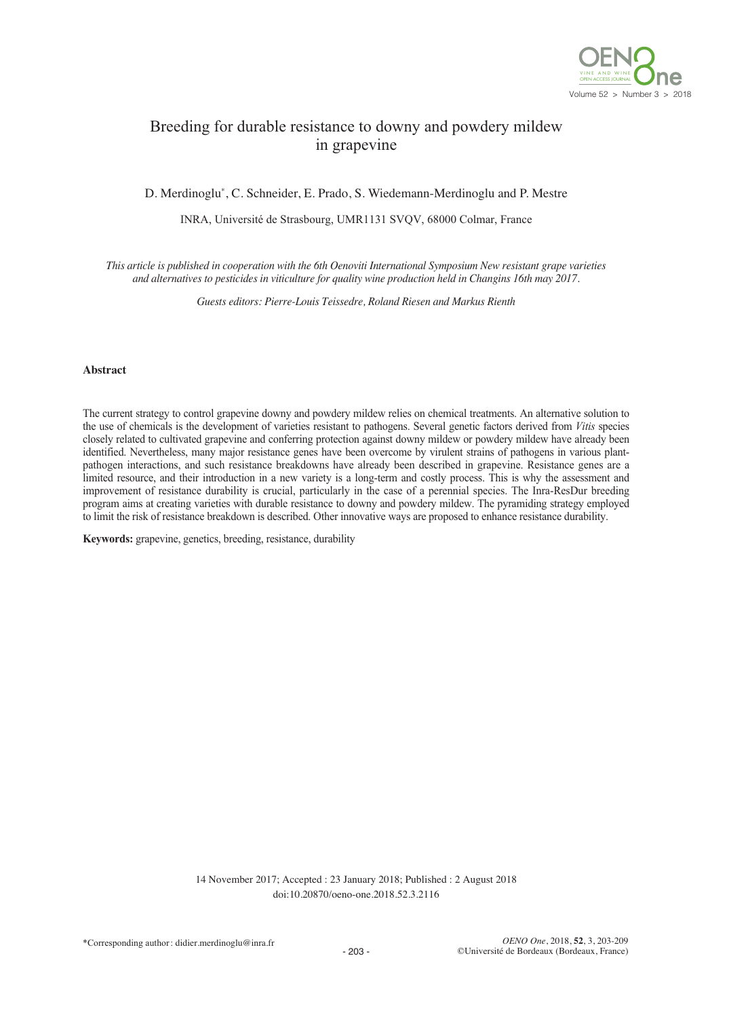

# Breeding for durable resistance to downy and powdery mildew in grapevine

D. Merdinoglu\*, C. Schneider, E. Prado, S. Wiedemann-Merdinoglu and P. Mestre

INRA, Université de Strasbourg, UMR1131 SVQV, 68000 Colmar, France

This article is published in cooperation with the 6th Oenoviti International Symposium New resistant grape varieties *and alternatives to pesticides in viticulture for quality wine production held in Changins 16th may 2017.*

*Guests editors: Pierre-Louis Teissedre, Roland Riesen and Markus Rienth*

#### **Abstract**

The current strategy to control grapevine downy and powdery mildew relies on chemical treatments. An alternative solution to the use of chemicals is the development of varieties resistant to pathogens. Several genetic factors derived from *Vitis* species closely related to cultivated grapevine and conferring protection against downy mildew or powdery mildew have already been identified. Nevertheless, many major resistance genes have been overcome by virulent strains of pathogens in various plantpathogen interactions, and such resistance breakdowns have already been described in grapevine. Resistance genes are a limited resource, and their introduction in a new variety is a long-term and costly process. This is why the assessment and improvement of resistance durability is crucial, particularly in the case of a perennial species. The Inra-ResDur breeding program aims at creating varieties with durable resistance to downy and powdery mildew. The pyramiding strategy employed to limit the risk of resistance breakdown is described. Other innovative ways are proposed to enhance resistance durability.

**Keywords:** grapevine, genetics, breeding, resistance, durability

14 November 2017; Accepted : 23 January 2018; Published : 2 August 2018 doi:10.20870/oeno-one.2018.52.3.2116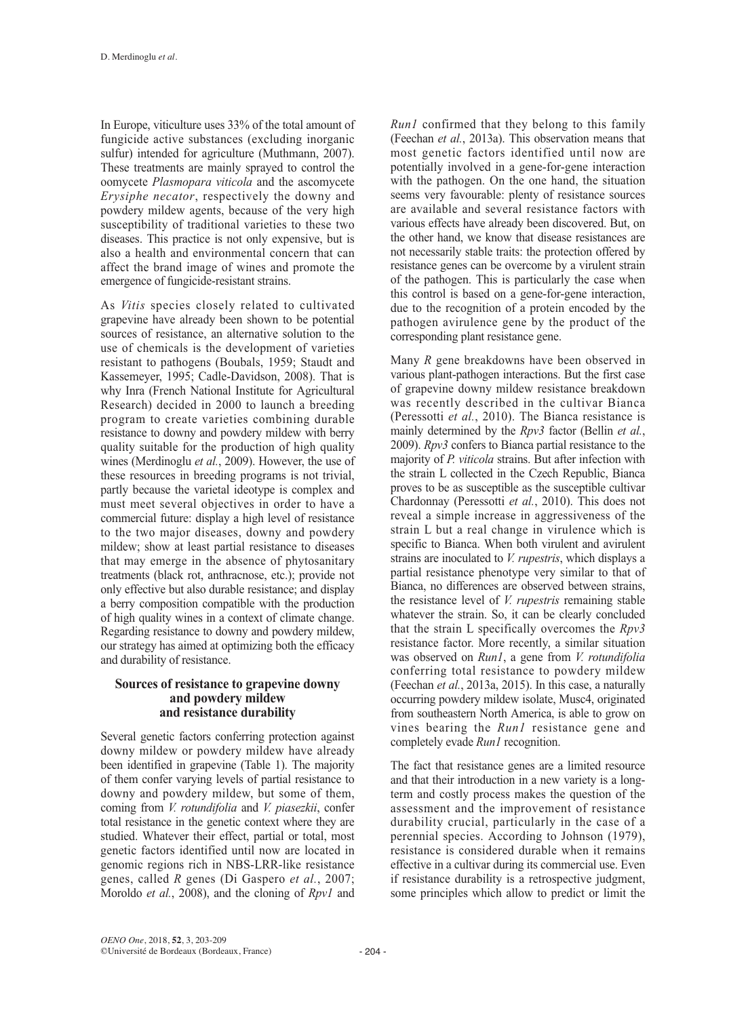In Europe, viticulture uses 33% of the total amount of fungicide active substances (excluding inorganic sulfur) intended for agriculture (Muthmann, 2007). These treatments are mainly sprayed to control the oomycete *Plasmopara viticola* and the ascomycete *Erysiphe necator*, respectively the downy and powdery mildew agents, because of the very high susceptibility of traditional varieties to these two diseases. This practice is not only expensive, but is also a health and environmental concern that can affect the brand image of wines and promote the emergence of fungicide-resistant strains.

As *Vitis* species closely related to cultivated grapevine have already been shown to be potential sources of resistance, an alternative solution to the use of chemicals is the development of varieties resistant to pathogens (Boubals, 1959; Staudt and Kassemeyer, 1995; Cadle-Davidson, 2008). That is why Inra (French National Institute for Agricultural Research) decided in 2000 to launch a breeding program to create varieties combining durable resistance to downy and powdery mildew with berry quality suitable for the production of high quality wines (Merdinoglu *et al.*, 2009). However, the use of these resources in breeding programs is not trivial, partly because the varietal ideotype is complex and must meet several objectives in order to have a commercial future: display a high level of resistance to the two major diseases, downy and powdery mildew; show at least partial resistance to diseases that may emerge in the absence of phytosanitary treatments (black rot, anthracnose, etc.); provide not only effective but also durable resistance; and display a berry composition compatible with the production of high quality wines in a context of climate change. Regarding resistance to downy and powdery mildew, our strategy has aimed at optimizing both the efficacy and durability of resistance.

## **Sources of resistance to grapevine downy and powdery mildew and resistance durability**

Several genetic factors conferring protection against downy mildew or powdery mildew have already been identified in grapevine (Table 1). The majority of them confer varying levels of partial resistance to downy and powdery mildew, but some of them, coming from *V. rotundifolia* and *V. piasezkii*, confer total resistance in the genetic context where they are studied. Whatever their effect, partial or total, most genetic factors identified until now are located in genomic regions rich in NBS-LRR-like resistance genes, called *R* genes (Di Gaspero *et al.*, 2007; Moroldo *et al.*, 2008), and the cloning of *Rpv1* and

*Run1* confirmed that they belong to this family (Feechan *et al.*, 2013a). This observation means that most genetic factors identified until now are potentially involved in a gene-for-gene interaction with the pathogen. On the one hand, the situation seems very favourable: plenty of resistance sources are available and several resistance factors with various effects have already been discovered. But, on the other hand, we know that disease resistances are not necessarily stable traits: the protection offered by resistance genes can be overcome by a virulent strain of the pathogen. This is particularly the case when this control is based on a gene-for-gene interaction, due to the recognition of a protein encoded by the pathogen avirulence gene by the product of the corresponding plant resistance gene.

Many *R* gene breakdowns have been observed in various plant-pathogen interactions. But the first case of grapevine downy mildew resistance breakdown was recently described in the cultivar Bianca (Peressotti *et al.*, 2010). The Bianca resistance is mainly determined by the *Rpv3* factor (Bellin *et al.*, 2009). *Rpv3* confers to Bianca partial resistance to the majority of *P. viticola* strains. But after infection with the strain L collected in the Czech Republic, Bianca proves to be as susceptible as the susceptible cultivar Chardonnay (Peressotti *et al.*, 2010). This does not reveal a simple increase in aggressiveness of the strain L but a real change in virulence which is specific to Bianca. When both virulent and avirulent strains are inoculated to *V. rupestris*, which displays a partial resistance phenotype very similar to that of Bianca, no differences are observed between strains, the resistance level of *V. rupestris* remaining stable whatever the strain. So, it can be clearly concluded that the strain L specifically overcomes the *Rpv3* resistance factor. More recently, a similar situation was observed on *Run1*, a gene from *V. rotundifolia* conferring total resistance to powdery mildew (Feechan *et al.*, 2013a, 2015). In this case, a naturally occurring powdery mildew isolate, Musc4, originated from southeastern North America, is able to grow on vines bearing the *Run1* resistance gene and completely evade *Run1* recognition.

The fact that resistance genes are a limited resource and that their introduction in a new variety is a longterm and costly process makes the question of the assessment and the improvement of resistance durability crucial, particularly in the case of a perennial species. According to Johnson (1979), resistance is considered durable when it remains effective in a cultivar during its commercial use. Even if resistance durability is a retrospective judgment, some principles which allow to predict or limit the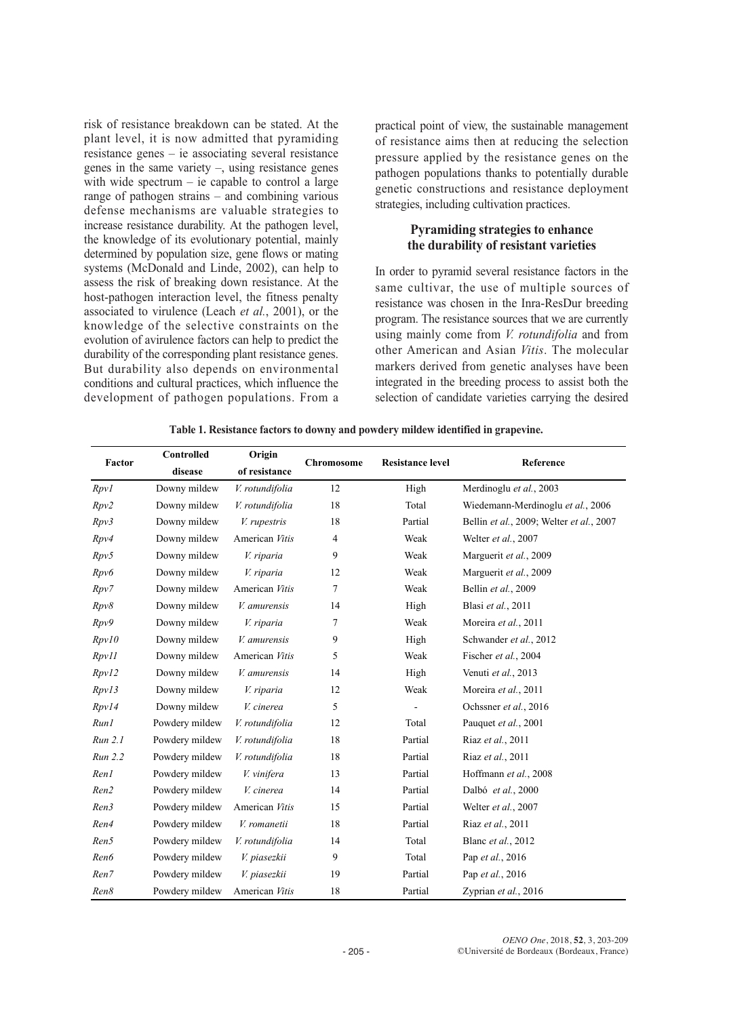risk of resistance breakdown can be stated. At the plant level, it is now admitted that pyramiding resistance genes – ie associating several resistance genes in the same variety –, using resistance genes with wide spectrum – ie capable to control a large range of pathogen strains – and combining various defense mechanisms are valuable strategies to increase resistance durability. At the pathogen level, the knowledge of its evolutionary potential, mainly determined by population size, gene flows or mating systems (McDonald and Linde, 2002), can help to assess the risk of breaking down resistance. At the host-pathogen interaction level, the fitness penalty associated to virulence (Leach *et al.*, 2001), or the knowledge of the selective constraints on the evolution of avirulence factors can help to predict the durability of the corresponding plant resistance genes. But durability also depends on environmental conditions and cultural practices, which influence the development of pathogen populations. From a

practical point of view, the sustainable management of resistance aims then at reducing the selection pressure applied by the resistance genes on the pathogen populations thanks to potentially durable genetic constructions and resistance deployment strategies, including cultivation practices.

## **Pyramiding strategies to enhance the durability of resistant varieties**

In order to pyramid several resistance factors in the same cultivar, the use of multiple sources of resistance was chosen in the Inra-ResDur breeding program. The resistance sources that we are currently using mainly come from *V. rotundifolia* and from other American and Asian *Vitis*. The molecular markers derived from genetic analyses have been integrated in the breeding process to assist both the selection of candidate varieties carrying the desired

| Factor  | Controlled     | Origin          | Chromosome | <b>Resistance level</b> | Reference                                |
|---------|----------------|-----------------|------------|-------------------------|------------------------------------------|
|         | disease        | of resistance   |            |                         |                                          |
| RpvI    | Downy mildew   | V. rotundifolia | 12         | High                    | Merdinoglu et al., 2003                  |
| Rpv2    | Downy mildew   | V. rotundifolia | 18         | Total                   | Wiedemann-Merdinoglu et al., 2006        |
| Rpv3    | Downy mildew   | V. rupestris    | 18         | Partial                 | Bellin et al., 2009; Welter et al., 2007 |
| Rpv4    | Downy mildew   | American Vitis  | 4          | Weak                    | Welter et al., 2007                      |
| Rpv5    | Downy mildew   | V. riparia      | 9          | Weak                    | Marguerit et al., 2009                   |
| Rpv6    | Downy mildew   | V. riparia      | 12         | Weak                    | Marguerit et al., 2009                   |
| Rpv7    | Downy mildew   | American Vitis  | 7          | Weak                    | Bellin et al., 2009                      |
| Rpv8    | Downy mildew   | V. amurensis    | 14         | High                    | Blasi et al., 2011                       |
| Rpv9    | Downy mildew   | V. riparia      | 7          | Weak                    | Moreira et al., 2011                     |
| Rpv10   | Downy mildew   | V. amurensis    | 9          | High                    | Schwander et al., 2012                   |
| RpvII   | Downy mildew   | American Vitis  | 5          | Weak                    | Fischer et al., 2004                     |
| Rpv12   | Downy mildew   | V. amurensis    | 14         | High                    | Venuti et al., 2013                      |
| Rpv13   | Downy mildew   | V. riparia      | 12         | Weak                    | Moreira et al., 2011                     |
| Rpv14   | Downy mildew   | V. cinerea      | 5          |                         | Ochssner et al., 2016                    |
| Run1    | Powdery mildew | V. rotundifolia | 12         | Total                   | Pauquet et al., 2001                     |
| Run 2.1 | Powdery mildew | V. rotundifolia | 18         | Partial                 | Riaz et al., 2011                        |
| Run 2.2 | Powdery mildew | V. rotundifolia | 18         | Partial                 | Riaz et al., 2011                        |
| Ren1    | Powdery mildew | V. vinifera     | 13         | Partial                 | Hoffmann et al., 2008                    |
| Ren2    | Powdery mildew | V. cinerea      | 14         | Partial                 | Dalbó et al., 2000                       |
| Ren3    | Powdery mildew | American Vitis  | 15         | Partial                 | Welter et al., 2007                      |
| Ren4    | Powdery mildew | V. romanetii    | 18         | Partial                 | Riaz et al., 2011                        |
| Ren5    | Powdery mildew | V. rotundifolia | 14         | Total                   | Blanc et al., 2012                       |
| Ren6    | Powdery mildew | V. piasezkii    | 9          | Total                   | Pap et al., 2016                         |
| Ren7    | Powdery mildew | V. piasezkii    | 19         | Partial                 | Pap et al., 2016                         |
| Ren8    | Powdery mildew | American Vitis  | 18         | Partial                 | Zyprian et al., 2016                     |

**Table 1. Resistance factors to downy and powdery mildew identified in grapevine.**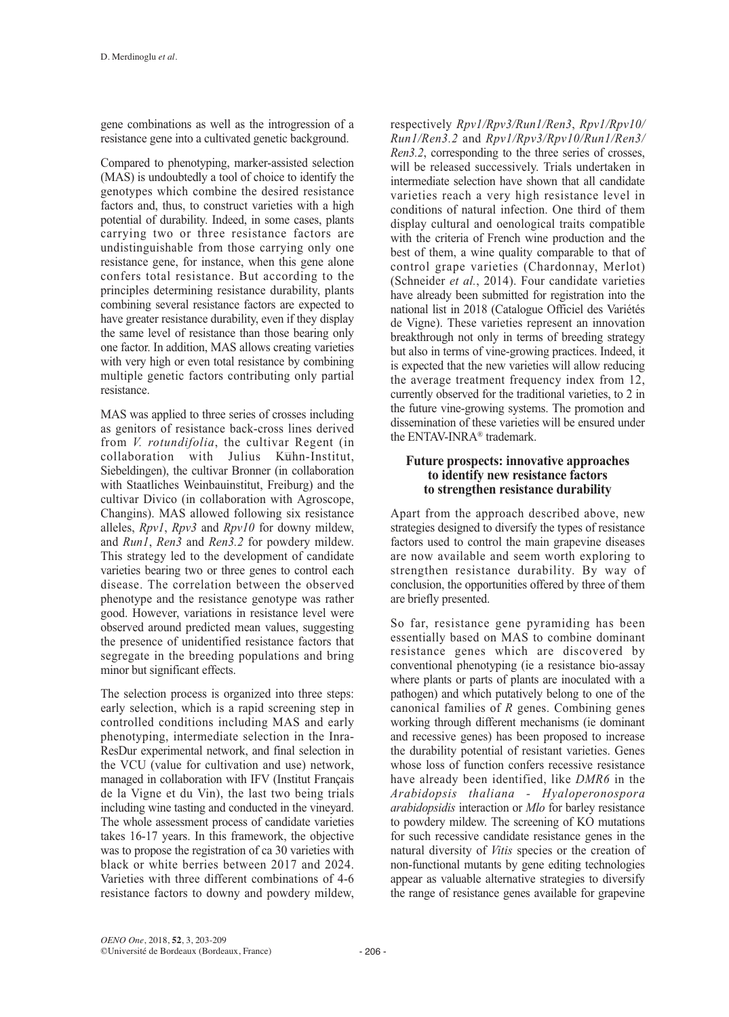gene combinations as well as the introgression of a resistance gene into a cultivated genetic background.

Compared to phenotyping, marker-assisted selection (MAS) is undoubtedly a tool of choice to identify the genotypes which combine the desired resistance factors and, thus, to construct varieties with a high potential of durability. Indeed, in some cases, plants carrying two or three resistance factors are undistinguishable from those carrying only one resistance gene, for instance, when this gene alone confers total resistance. But according to the principles determining resistance durability, plants combining several resistance factors are expected to have greater resistance durability, even if they display the same level of resistance than those bearing only one factor. In addition, MAS allows creating varieties with very high or even total resistance by combining multiple genetic factors contributing only partial resistance.

MAS was applied to three series of crosses including as genitors of resistance back-cross lines derived from *V. rotundifolia*, the cultivar Regent (in collaboration with Julius Kuhn-Institut, Siebeldingen), the cultivar Bronner (in collaboration with Staatliches Weinbauinstitut, Freiburg) and the cultivar Divico (in collaboration with Agroscope, Changins). MAS allowed following six resistance alleles, *Rpv1*, *Rpv3* and *Rpv10* for downy mildew, and *Run1*, *Ren3* and *Ren3.2* for powdery mildew. This strategy led to the development of candidate varieties bearing two or three genes to control each disease. The correlation between the observed phenotype and the resistance genotype was rather good. However, variations in resistance level were observed around predicted mean values, suggesting the presence of unidentified resistance factors that segregate in the breeding populations and bring minor but significant effects.

The selection process is organized into three steps: early selection, which is a rapid screening step in controlled conditions including MAS and early phenotyping, intermediate selection in the Inra-ResDur experimental network, and final selection in the VCU (value for cultivation and use) network, managed in collaboration with IFV (Institut Français de la Vigne et du Vin), the last two being trials including wine tasting and conducted in the vineyard. The whole assessment process of candidate varieties takes 16-17 years. In this framework, the objective was to propose the registration of ca 30 varieties with black or white berries between 2017 and 2024. Varieties with three different combinations of 4-6 resistance factors to downy and powdery mildew,

respectively *Rpv1/Rpv3/Run1/Ren3*, *Rpv1/Rpv10/ Run1/Ren3.2* and *Rpv1/Rpv3/Rpv10/Run1/Ren3/ Ren3.2*, corresponding to the three series of crosses, will be released successively. Trials undertaken in intermediate selection have shown that all candidate varieties reach a very high resistance level in conditions of natural infection. One third of them display cultural and oenological traits compatible with the criteria of French wine production and the best of them, a wine quality comparable to that of control grape varieties (Chardonnay, Merlot) (Schneider *et al.*, 2014). Four candidate varieties have already been submitted for registration into the national list in 2018 (Catalogue Officiel des Variétés de Vigne). These varieties represent an innovation breakthrough not only in terms of breeding strategy but also in terms of vine-growing practices. Indeed, it is expected that the new varieties will allow reducing the average treatment frequency index from 12, currently observed for the traditional varieties, to 2 in the future vine-growing systems. The promotion and dissemination of these varieties will be ensured under the ENTAV-INRA® trademark.

#### **Future prospects: innovative approaches to identify new resistance factors to strengthen resistance durability**

Apart from the approach described above, new strategies designed to diversify the types of resistance factors used to control the main grapevine diseases are now available and seem worth exploring to strengthen resistance durability. By way of conclusion, the opportunities offered by three of them are briefly presented.

So far, resistance gene pyramiding has been essentially based on MAS to combine dominant resistance genes which are discovered by conventional phenotyping (ie a resistance bio-assay where plants or parts of plants are inoculated with a pathogen) and which putatively belong to one of the canonical families of *R* genes. Combining genes working through different mechanisms (ie dominant and recessive genes) has been proposed to increase the durability potential of resistant varieties. Genes whose loss of function confers recessive resistance have already been identified, like *DMR6* in the *Arabidopsis thaliana - Hyaloperonospora arabidopsidis* interaction or *Mlo* for barley resistance to powdery mildew. The screening of KO mutations for such recessive candidate resistance genes in the natural diversity of *Vitis* species or the creation of non-functional mutants by gene editing technologies appear as valuable alternative strategies to diversify the range of resistance genes available for grapevine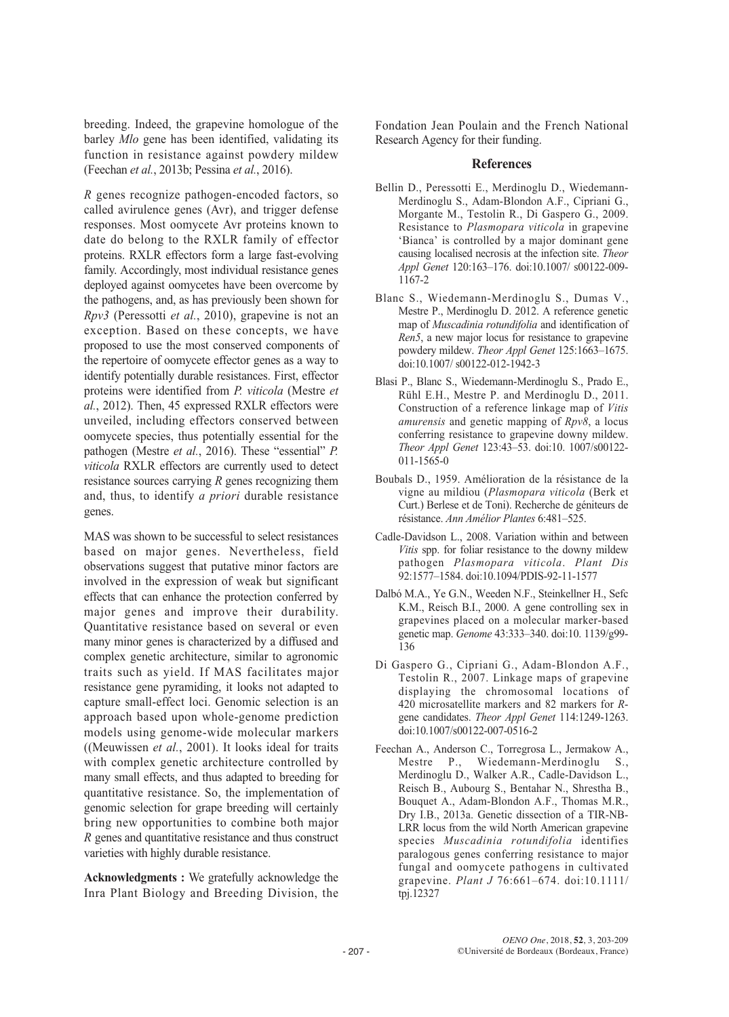breeding. Indeed, the grapevine homologue of the barley *Mlo* gene has been identified, validating its function in resistance against powdery mildew (Feechan *et al.*, 2013b; Pessina *et al.*, 2016).

*R* genes recognize pathogen-encoded factors, so called avirulence genes (Avr), and trigger defense responses. Most oomycete Avr proteins known to date do belong to the RXLR family of effector proteins. RXLR effectors form a large fast-evolving family. Accordingly, most individual resistance genes deployed against oomycetes have been overcome by the pathogens, and, as has previously been shown for *Rpv3* (Peressotti *et al.*, 2010), grapevine is not an exception. Based on these concepts, we have proposed to use the most conserved components of the repertoire of oomycete effector genes as a way to identify potentially durable resistances. First, effector proteins were identified from *P. viticola* (Mestre *et al.*, 2012). Then, 45 expressed RXLR effectors were unveiled, including effectors conserved between oomycete species, thus potentially essential for the pathogen (Mestre *et al.*, 2016). These "essential" *P. viticola* RXLR effectors are currently used to detect resistance sources carrying *R* genes recognizing them and, thus, to identify *a priori* durable resistance genes.

MAS was shown to be successful to select resistances based on major genes. Nevertheless, field observations suggest that putative minor factors are involved in the expression of weak but significant effects that can enhance the protection conferred by major genes and improve their durability. Quantitative resistance based on several or even many minor genes is characterized by a diffused and complex genetic architecture, similar to agronomic traits such as yield. If MAS facilitates major resistance gene pyramiding, it looks not adapted to capture small-effect loci. Genomic selection is an approach based upon whole-genome prediction models using genome-wide molecular markers ((Meuwissen *et al.*, 2001). It looks ideal for traits with complex genetic architecture controlled by many small effects, and thus adapted to breeding for quantitative resistance. So, the implementation of genomic selection for grape breeding will certainly bring new opportunities to combine both major *R* genes and quantitative resistance and thus construct varieties with highly durable resistance.

**Acknowledgments :** We gratefully acknowledge the Inra Plant Biology and Breeding Division, the Fondation Jean Poulain and the French National Research Agency for their funding.

#### **References**

- Bellin D., Peressotti E., Merdinoglu D., Wiedemann-Merdinoglu S., Adam-Blondon A.F., Cipriani G., Morgante M., Testolin R., Di Gaspero G., 2009. Resistance to *Plasmopara viticola* in grapevine 'Bianca' is controlled by a major dominant gene causing localised necrosis at the infection site. *Theor Appl Genet* 120:163–176. doi:10.1007/ s00122-009- 1167-2
- Blanc S., Wiedemann-Merdinoglu S., Dumas V., Mestre P., Merdinoglu D. 2012. A reference genetic map of *Muscadinia rotundifolia* and identification of *Ren5*, a new major locus for resistance to grapevine powdery mildew. *Theor Appl Genet* 125:1663–1675. doi:10.1007/ s00122-012-1942-3
- Blasi P., Blanc S., Wiedemann-Merdinoglu S., Prado E., Rühl E.H., Mestre P. and Merdinoglu D., 2011. Construction of a reference linkage map of *Vitis amurensis* and genetic mapping of *Rpv8*, a locus conferring resistance to grapevine downy mildew. *Theor Appl Genet* 123:43–53. doi:10. 1007/s00122- 011-1565-0
- Boubals D., 1959. Amélioration de la résistance de la vigne au mildiou (*Plasmopara viticola* (Berk et Curt.) Berlese et de Toni). Recherche de géniteurs de résistance. *Ann Amélior Plantes* 6:481–525.
- Cadle-Davidson L., 2008. Variation within and between *Vitis* spp. for foliar resistance to the downy mildew pathogen *Plasmopara viticola*. *Plant Dis* 92:1577–1584. doi:10.1094/PDIS-92-11-1577
- Dalbó M.A., Ye G.N., Weeden N.F., Steinkellner H., Sefc K.M., Reisch B.I., 2000. A gene controlling sex in grapevines placed on a molecular marker-based genetic map. *Genome* 43:333–340. doi:10. 1139/g99- 136
- Di Gaspero G., Cipriani G., Adam-Blondon A.F., Testolin R., 2007. Linkage maps of grapevine displaying the chromosomal locations of 420 microsatellite markers and 82 markers for *R*gene candidates. *Theor Appl Genet* 114:1249-1263. doi:10.1007/s00122-007-0516-2
- Feechan A., Anderson C., Torregrosa L., Jermakow A., Mestre P., Wiedemann-Merdinoglu S., Merdinoglu D., Walker A.R., Cadle-Davidson L., Reisch B., Aubourg S., Bentahar N., Shrestha B., Bouquet A., Adam-Blondon A.F., Thomas M.R., Dry I.B., 2013a. Genetic dissection of a TIR-NB-LRR locus from the wild North American grapevine species *Muscadinia rotundifolia* identifies paralogous genes conferring resistance to major fungal and oomycete pathogens in cultivated grapevine. *Plant J* 76:661–674. doi:10.1111/ tpj.12327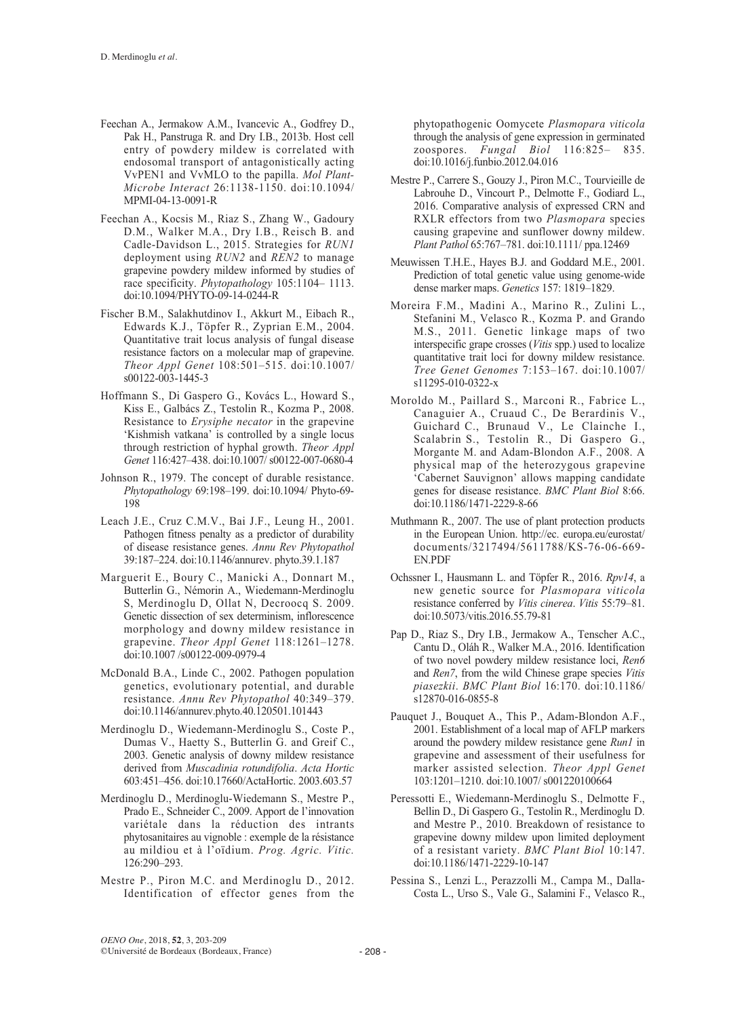- Feechan A., Jermakow A.M., Ivancevic A., Godfrey D., Pak H., Panstruga R. and Dry I.B., 2013b. Host cell entry of powdery mildew is correlated with endosomal transport of antagonistically acting VvPEN1 and VvMLO to the papilla. *Mol Plant-Microbe Interact* 26:1138-1150. doi:10.1094/ MPMI-04-13-0091-R
- Feechan A., Kocsis M., Riaz S., Zhang W., Gadoury D.M., Walker M.A., Dry I.B., Reisch B. and Cadle-Davidson L., 2015. Strategies for *RUN1* deployment using *RUN2* and *REN2* to manage grapevine powdery mildew informed by studies of race specificity. *Phytopathology* 105:1104– 1113. doi:10.1094/PHYTO-09-14-0244-R
- Fischer B.M., Salakhutdinov I., Akkurt M., Eibach R., Edwards K.J., Töpfer R., Zyprian E.M., 2004. Quantitative trait locus analysis of fungal disease resistance factors on a molecular map of grapevine. *Theor Appl Genet* 108:501–515. doi:10.1007/ s00122-003-1445-3
- Hoffmann S., Di Gaspero G., Kovács L., Howard S., Kiss E., Galbács Z., Testolin R., Kozma P., 2008. Resistance to *Erysiphe necator* in the grapevine 'Kishmish vatkana' is controlled by a single locus through restriction of hyphal growth. *Theor Appl Genet* 116:427–438. doi:10.1007/ s00122-007-0680-4
- Johnson R., 1979. The concept of durable resistance. *Phytopathology* 69:198–199. doi:10.1094/ Phyto-69- 198
- Leach J.E., Cruz C.M.V., Bai J.F., Leung H., 2001. Pathogen fitness penalty as a predictor of durability of disease resistance genes. *Annu Rev Phytopathol* 39:187–224. doi:10.1146/annurev. phyto.39.1.187
- Marguerit E., Boury C., Manicki A., Donnart M., Butterlin G., Némorin A., Wiedemann-Merdinoglu S, Merdinoglu D, Ollat N, Decroocq S. 2009. Genetic dissection of sex determinism, inflorescence morphology and downy mildew resistance in grapevine. *Theor Appl Genet* 118:1261–1278. doi:10.1007 /s00122-009-0979-4
- McDonald B.A., Linde C., 2002. Pathogen population genetics, evolutionary potential, and durable resistance. *Annu Rev Phytopathol* 40:349–379. doi:10.1146/annurev.phyto.40.120501.101443
- Merdinoglu D., Wiedemann-Merdinoglu S., Coste P., Dumas V., Haetty S., Butterlin G. and Greif C., 2003. Genetic analysis of downy mildew resistance derived from *Muscadinia rotundifolia*. *Acta Hortic* 603:451–456. doi:10.17660/ActaHortic. 2003.603.57
- Merdinoglu D., Merdinoglu-Wiedemann S., Mestre P., Prado E., Schneider C., 2009. Apport de l'innovation variétale dans la réduction des intrants phytosanitaires au vignoble : exemple de la résistance au mildiou et à l'oïdium. *Prog. Agric. Vitic.* 126:290–293.
- Mestre P., Piron M.C. and Merdinoglu D., 2012. Identification of effector genes from the

phytopathogenic Oomycete *Plasmopara viticola* through the analysis of gene expression in germinated zoospores. *Fungal Biol* 116:825– 835. doi:10.1016/j.funbio.2012.04.016

- Mestre P., Carrere S., Gouzy J., Piron M.C., Tourvieille de Labrouhe D., Vincourt P., Delmotte F., Godiard L., 2016. Comparative analysis of expressed CRN and RXLR effectors from two *Plasmopara* species causing grapevine and sunflower downy mildew. *Plant Pathol* 65:767–781. doi:10.1111/ ppa.12469
- Meuwissen T.H.E., Hayes B.J. and Goddard M.E., 2001. Prediction of total genetic value using genome-wide dense marker maps. *Genetics* 157: 1819–1829.
- Moreira F.M., Madini A., Marino R., Zulini L., Stefanini M., Velasco R., Kozma P. and Grando M.S., 2011. Genetic linkage maps of two interspecific grape crosses (*Vitis* spp.) used to localize quantitative trait loci for downy mildew resistance. *Tree Genet Genomes* 7:153–167. doi:10.1007/ s11295-010-0322-x
- Moroldo M., Paillard S., Marconi R., Fabrice L., Canaguier A., Cruaud C., De Berardinis V., Guichard C., Brunaud V., Le Clainche I., Scalabrin S., Testolin R., Di Gaspero G., Morgante M. and Adam-Blondon A.F., 2008. A physical map of the heterozygous grapevine 'Cabernet Sauvignon' allows mapping candidate genes for disease resistance. *BMC Plant Biol* 8:66. doi:10.1186/1471-2229-8-66
- Muthmann R., 2007. The use of plant protection products in the European Union. http://ec. europa.eu/eurostat/ documents/3217494/5611788/KS-76-06-669- EN.PDF
- Ochssner I., Hausmann L. and Töpfer R., 2016. *Rpv14*, a new genetic source for *Plasmopara viticola* resistance conferred by *Vitis cinerea*. *Vitis* 55:79–81. doi:10.5073/vitis.2016.55.79-81
- Pap D., Riaz S., Dry I.B., Jermakow A., Tenscher A.C., Cantu D., Oláh R., Walker M.A., 2016. Identification of two novel powdery mildew resistance loci, *Ren6* and *Ren7*, from the wild Chinese grape species *Vitis piasezkii*. *BMC Plant Biol* 16:170. doi:10.1186/ s12870-016-0855-8
- Pauquet J., Bouquet A., This P., Adam-Blondon A.F., 2001. Establishment of a local map of AFLP markers around the powdery mildew resistance gene *Run1* in grapevine and assessment of their usefulness for marker assisted selection. *Theor Appl Genet* 103:1201–1210. doi:10.1007/ s001220100664
- Peressotti E., Wiedemann-Merdinoglu S., Delmotte F., Bellin D., Di Gaspero G., Testolin R., Merdinoglu D. and Mestre P., 2010. Breakdown of resistance to grapevine downy mildew upon limited deployment of a resistant variety. *BMC Plant Biol* 10:147. doi:10.1186/1471-2229-10-147
- Pessina S., Lenzi L., Perazzolli M., Campa M., Dalla-Costa L., Urso S., Vale G., Salamini F., Velasco R.,